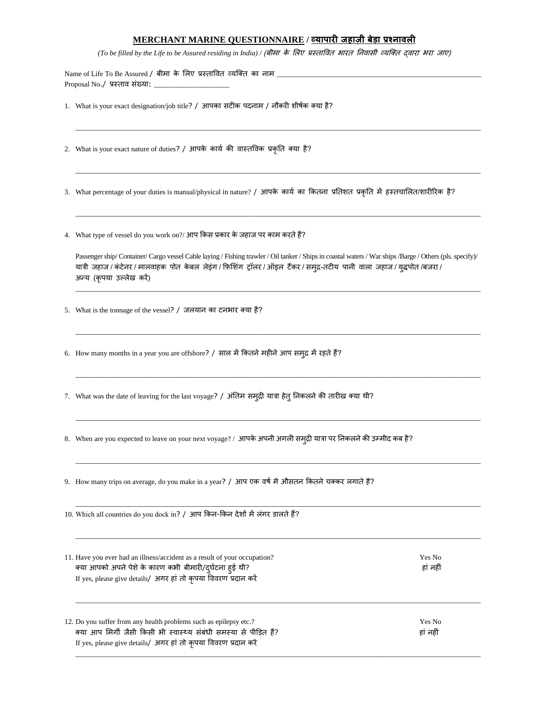## **MERCHANT MARINE QUESTIONNAIRE / व्यापारी जहाज़ी बेडा प्रश्नावली**

*(To be filled by the Life to be Assured residing in India)* / (बीमा के लिए प्रस्तावित भारत निवासी व्यक्ति द्वारा भरा जाए)

\_\_\_\_\_\_\_\_\_\_\_\_\_\_\_\_\_\_\_\_\_\_\_\_\_\_\_\_\_\_\_\_\_\_\_\_\_\_\_\_\_\_\_\_\_\_\_\_\_\_\_\_\_\_\_\_\_\_\_\_\_\_\_\_\_\_\_\_\_\_\_\_\_\_\_\_\_\_\_\_\_\_\_\_\_\_\_\_\_\_\_\_\_\_\_\_\_\_\_\_\_\_\_\_\_\_\_\_\_\_\_\_\_

\_\_\_\_\_\_\_\_\_\_\_\_\_\_\_\_\_\_\_\_\_\_\_\_\_\_\_\_\_\_\_\_\_\_\_\_\_\_\_\_\_\_\_\_\_\_\_\_\_\_\_\_\_\_\_\_\_\_\_\_\_\_\_\_\_\_\_\_\_\_\_\_\_\_\_\_\_\_\_\_\_\_\_\_\_\_\_\_\_\_\_\_\_\_\_\_\_\_\_\_\_\_\_\_\_\_\_\_\_\_\_\_\_

\_\_\_\_\_\_\_\_\_\_\_\_\_\_\_\_\_\_\_\_\_\_\_\_\_\_\_\_\_\_\_\_\_\_\_\_\_\_\_\_\_\_\_\_\_\_\_\_\_\_\_\_\_\_\_\_\_\_\_\_\_\_\_\_\_\_\_\_\_\_\_\_\_\_\_\_\_\_\_\_\_\_\_\_\_\_\_\_\_\_\_\_\_\_\_\_\_\_\_\_\_\_\_\_\_\_\_\_\_\_\_\_\_

Name of Life To Be Assured / बीमा के लिए प्रस्तावित व्यक्ति का नाम  $\_$ Proposal No./ प्रस्ताव संख्या:  $\_$ 

- 1. What is your exact designation/job title? / आपका सटीक पदनाम / नौकरी शीर्षक क्या है?
- 2. What is your exact nature of duties? / आपके कार्य की वास्तविक प्रकृति क्या है?
- 3. What percentage of your duties is manual/physical in nature? / आपके कार्य का कितना प्रतिशत प्रकृति में हस्तचालित/शारीरिक है?
- 4. What type of vessel do you work on?/ आप ककस प्रकार के जहाज पर काम करतेहैं?

Passenger ship/ Container/ Cargo vessel Cable laying / Fishing trawler / Oil tanker / Ships in coastal waters / War ships /Barge / Others (pls. specify)/ यात्री जहाज / कंटेनर / मालवाहक पोत केबल लेइंग / फ़िशिंग ट्रॉलर / ऑइल टैंकर / समुद्र-तटीय पानी वाला जहाज / युद्धपोत /बजरा / अन्य (कृपया उल्िेख करें)

\_\_\_\_\_\_\_\_\_\_\_\_\_\_\_\_\_\_\_\_\_\_\_\_\_\_\_\_\_\_\_\_\_\_\_\_\_\_\_\_\_\_\_\_\_\_\_\_\_\_\_\_\_\_\_\_\_\_\_\_\_\_\_\_\_\_\_\_\_\_\_\_\_\_\_\_\_\_\_\_\_\_\_\_\_\_\_\_\_\_\_\_\_\_\_\_\_\_\_\_\_\_\_\_\_\_\_\_\_\_\_\_\_

\_\_\_\_\_\_\_\_\_\_\_\_\_\_\_\_\_\_\_\_\_\_\_\_\_\_\_\_\_\_\_\_\_\_\_\_\_\_\_\_\_\_\_\_\_\_\_\_\_\_\_\_\_\_\_\_\_\_\_\_\_\_\_\_\_\_\_\_\_\_\_\_\_\_\_\_\_\_\_\_\_\_\_\_\_\_\_\_\_\_\_\_\_\_\_\_\_\_\_\_\_\_\_\_\_\_\_\_\_\_\_\_\_

\_\_\_\_\_\_\_\_\_\_\_\_\_\_\_\_\_\_\_\_\_\_\_\_\_\_\_\_\_\_\_\_\_\_\_\_\_\_\_\_\_\_\_\_\_\_\_\_\_\_\_\_\_\_\_\_\_\_\_\_\_\_\_\_\_\_\_\_\_\_\_\_\_\_\_\_\_\_\_\_\_\_\_\_\_\_\_\_\_\_\_\_\_\_\_\_\_\_\_\_\_\_\_\_\_\_\_\_\_\_\_\_\_

\_\_\_\_\_\_\_\_\_\_\_\_\_\_\_\_\_\_\_\_\_\_\_\_\_\_\_\_\_\_\_\_\_\_\_\_\_\_\_\_\_\_\_\_\_\_\_\_\_\_\_\_\_\_\_\_\_\_\_\_\_\_\_\_\_\_\_\_\_\_\_\_\_\_\_\_\_\_\_\_\_\_\_\_\_\_\_\_\_\_\_\_\_\_\_\_\_\_\_\_\_\_\_\_\_\_\_\_\_\_\_\_\_

\_\_\_\_\_\_\_\_\_\_\_\_\_\_\_\_\_\_\_\_\_\_\_\_\_\_\_\_\_\_\_\_\_\_\_\_\_\_\_\_\_\_\_\_\_\_\_\_\_\_\_\_\_\_\_\_\_\_\_\_\_\_\_\_\_\_\_\_\_\_\_\_\_\_\_\_\_\_\_\_\_\_\_\_\_\_\_\_\_\_\_\_\_\_\_\_\_\_\_\_\_\_\_\_\_\_\_\_\_\_\_\_\_

\_\_\_\_\_\_\_\_\_\_\_\_\_\_\_\_\_\_\_\_\_\_\_\_\_\_\_\_\_\_\_\_\_\_\_\_\_\_\_\_\_\_\_\_\_\_\_\_\_\_\_\_\_\_\_\_\_\_\_\_\_\_\_\_\_\_\_\_\_\_\_\_\_\_\_\_\_\_\_\_\_\_\_\_\_\_\_\_\_\_\_\_\_\_\_\_\_\_\_\_\_\_\_\_\_\_\_\_\_\_\_\_\_

\_\_\_\_\_\_\_\_\_\_\_\_\_\_\_\_\_\_\_\_\_\_\_\_\_\_\_\_\_\_\_\_\_\_\_\_\_\_\_\_\_\_\_\_\_\_\_\_\_\_\_\_\_\_\_\_\_\_\_\_\_\_\_\_\_\_\_\_\_\_\_\_\_\_\_\_\_\_\_\_\_\_\_\_\_\_\_\_\_\_\_\_\_\_\_\_\_\_\_\_\_\_\_\_\_\_\_\_\_\_\_\_\_

- 5. What is the tonnage of the vessel? / जलयान का टनभार क्या है?
- 6. How many months in a year you are offshore? / साल में कितने महीने आप समुद्र में रहते हैं?
- 7. What was the date of leaving for the last voyage? / अंतिम समुद्री यात्रा हेतु निकलने की तारीख क्या थी?
- 8. When are you expected to leave on your next voyage? / आपके अपनी अगली समुद्री यात्रा पर निकलने की उम्मीद कब है?
- 9. How many trips on average, do you make in a year? / आप एक वर्ष में औसतन कितने चक्कर लगाते हैं?

| 10. Which all countries do you dock in? / आप किन-किन देशों में लंगर डालते हैं?                                                                                                                             |                    |  |
|------------------------------------------------------------------------------------------------------------------------------------------------------------------------------------------------------------|--------------------|--|
| 11. Have you ever had an illness/accident as a result of your occupation?<br>क्या आपको अपने पेशे के कारण कभी बीमारी/दुर्घटना ह्ई थी?<br>If yes, please give details/ अगर हां तो कृपया विवरण प्रदान करें    | Yes No<br>हां नहीं |  |
| 12. Do you suffer from any health problems such as epilepsy etc.?<br>क्या आप मिर्गी जैसी किसी भी स्वास्थ्य संबंधी समस्या से पीड़ित हैं?<br>If yes, please give details/ अगर हां तो कृपया विवरण प्रदान करें | Yes No<br>हां नहीं |  |